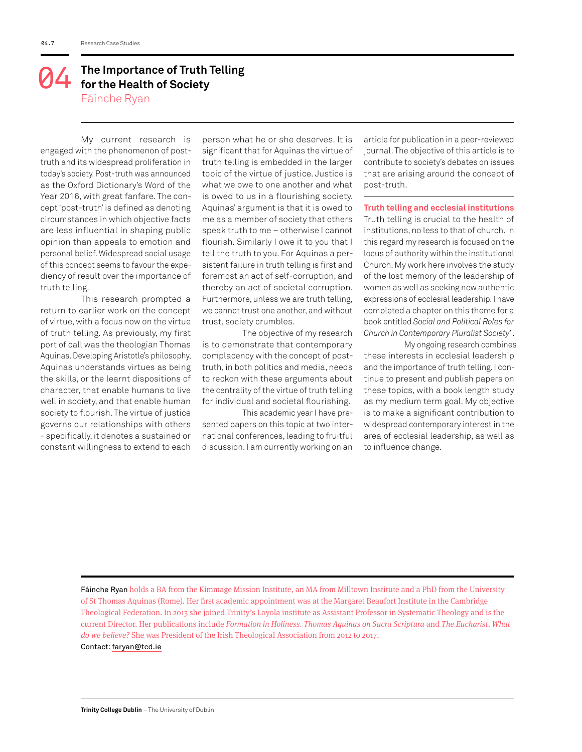## **The Importance of Truth Telling 64** The Importance of Truth<br>for the Health of Society Fáinche Ryan

My current research is engaged with the phenomenon of posttruth and its widespread proliferation in today's society. Post-truth was announced as the Oxford Dictionary's Word of the Year 2016, with great fanfare. The concept 'post-truth' is defined as denoting circumstances in which objective facts are less influential in shaping public opinion than appeals to emotion and personal belief. Widespread social usage of this concept seems to favour the expediency of result over the importance of truth telling.

This research prompted a return to earlier work on the concept of virtue, with a focus now on the virtue of truth telling. As previously, my first port of call was the theologian Thomas Aquinas. Developing Aristotle's philosophy, Aquinas understands virtues as being the skills, or the learnt dispositions of character, that enable humans to live well in society, and that enable human society to flourish. The virtue of justice governs our relationships with others - specifically, it denotes a sustained or constant willingness to extend to each

person what he or she deserves. It is significant that for Aquinas the virtue of truth telling is embedded in the larger topic of the virtue of justice. Justice is what we owe to one another and what is owed to us in a flourishing society. Aquinas' argument is that it is owed to me as a member of society that others speak truth to me – otherwise I cannot flourish. Similarly I owe it to you that I tell the truth to you. For Aquinas a persistent failure in truth telling is first and foremost an act of self-corruption, and thereby an act of societal corruption. Furthermore, unless we are truth telling, we cannot trust one another, and without trust, society crumbles.

The objective of my research is to demonstrate that contemporary complacency with the concept of posttruth, in both politics and media, needs to reckon with these arguments about the centrality of the virtue of truth telling for individual and societal flourishing.

This academic year I have presented papers on this topic at two international conferences, leading to fruitful discussion. I am currently working on an article for publication in a peer-reviewed journal. The objective of this article is to contribute to society's debates on issues that are arising around the concept of post-truth.

**Truth telling and ecclesial institutions**

Truth telling is crucial to the health of institutions, no less to that of church. In this regard my research is focused on the locus of authority within the institutional Church. My work here involves the study of the lost memory of the leadership of women as well as seeking new authentic expressions of ecclesial leadership. I have completed a chapter on this theme for a book entitled *Social and Political Roles for Church in Contemporary Pluralist Society*' .

My ongoing research combines these interests in ecclesial leadership and the importance of truth telling. I continue to present and publish papers on these topics, with a book length study as my medium term goal. My objective is to make a significant contribution to widespread contemporary interest in the area of ecclesial leadership, as well as to influence change.

Fáinche Ryan holds a BA from the Kimmage Mission Institute, an MA from Milltown Institute and a PhD from the University of St Thomas Aquinas (Rome). Her first academic appointment was at the Margaret Beaufort Institute in the Cambridge Theological Federation. In 2013 she joined Trinity's Loyola institute as Assistant Professor in Systematic Theology and is the current Director. Her publications include *Formation in Holiness*. *Thomas Aquinas on Sacra Scriptura* and *The Eucharist*. *What do we believe?* She was President of the Irish Theological Association from 2012 to 2017. Contact: faryan@tcd.ie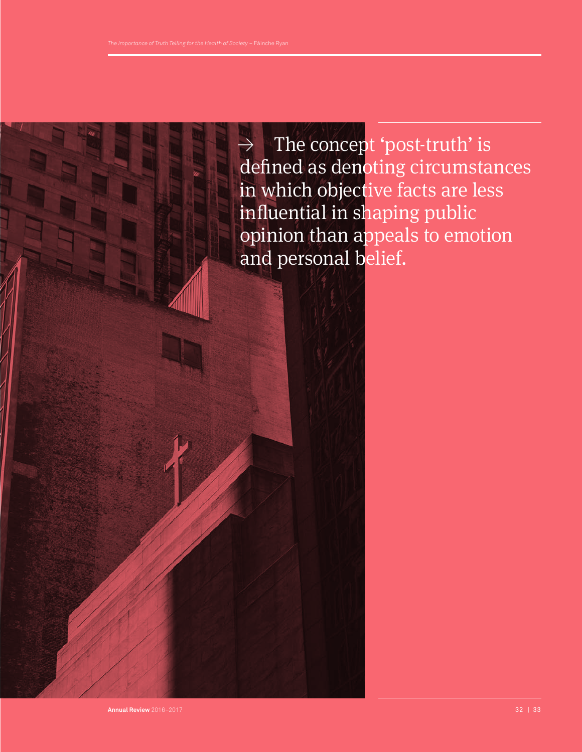≥ The concept 'post-truth' is defined as denoting circumstances in which objective facts are less influential in shaping public opinion than appeals to emotion and personal belief.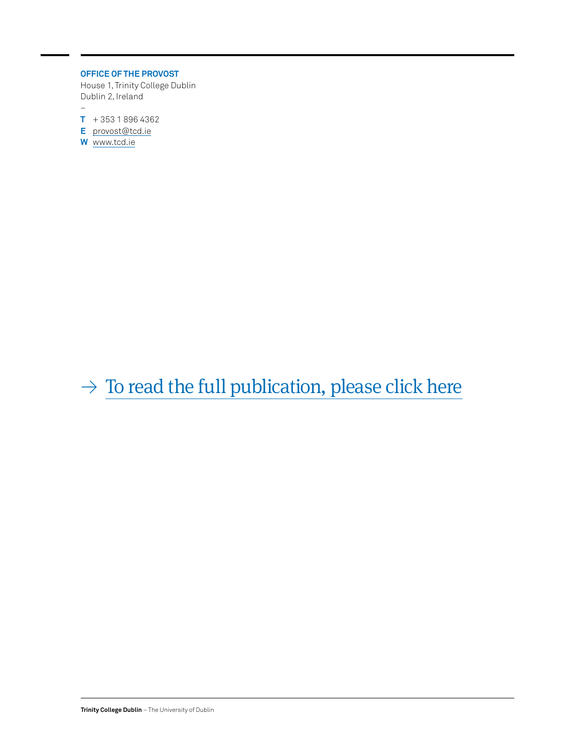## **OFFICE OF THE PROVOST**

House 1, Trinity College Dublin Dublin 2, Ireland  $\overline{a}$ 

**T** + 353 1 896 4362

- **E** provost@tcd.ie
- **W** www.tcd.ie

 $\rightarrow$  [To read the full publication, please click here](http://www.tcd.ie/provost/review/)